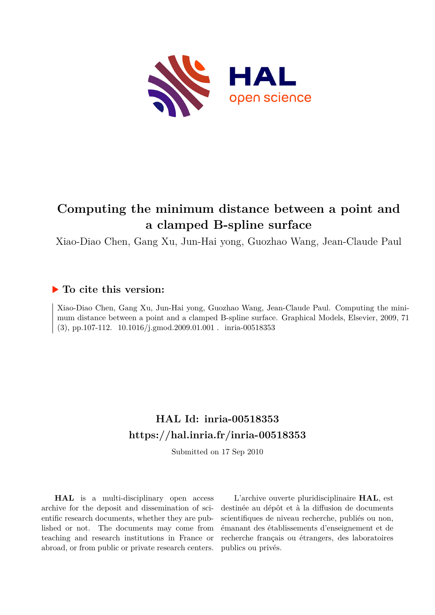

# **Computing the minimum distance between a point and a clamped B-spline surface**

Xiao-Diao Chen, Gang Xu, Jun-Hai yong, Guozhao Wang, Jean-Claude Paul

# **To cite this version:**

Xiao-Diao Chen, Gang Xu, Jun-Hai yong, Guozhao Wang, Jean-Claude Paul. Computing the minimum distance between a point and a clamped B-spline surface. Graphical Models, Elsevier, 2009, 71  $(3)$ , pp.107-112. 10.1016/j.gmod.2009.01.001. inria-00518353

# **HAL Id: inria-00518353 <https://hal.inria.fr/inria-00518353>**

Submitted on 17 Sep 2010

**HAL** is a multi-disciplinary open access archive for the deposit and dissemination of scientific research documents, whether they are published or not. The documents may come from teaching and research institutions in France or abroad, or from public or private research centers.

L'archive ouverte pluridisciplinaire **HAL**, est destinée au dépôt et à la diffusion de documents scientifiques de niveau recherche, publiés ou non, émanant des établissements d'enseignement et de recherche français ou étrangers, des laboratoires publics ou privés.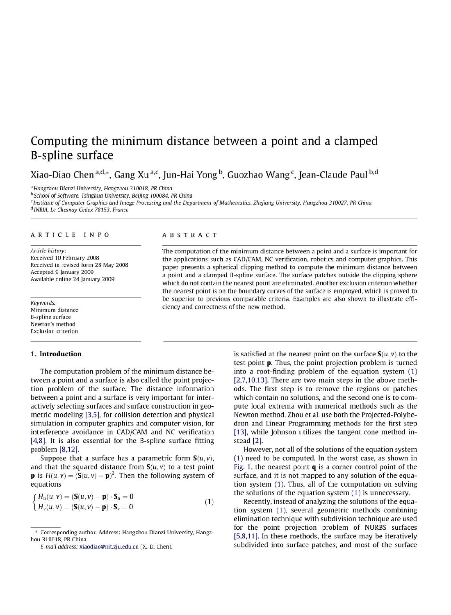# Computing the minimum distance between a point and a clamped **B-spline surface**

Xiao-Diao Chen<sup>a,d,\*</sup>, Gang Xu<sup>a,c</sup>, Jun-Hai Yong<sup>b</sup>, Guozhao Wang<sup>c</sup>, Jean-Claude Paul<sup>b,d</sup>

<sup>a</sup> Hangzhou Dianzi University, Hangzhou 310018, PR China

<sup>b</sup> School of Software. Tsinghua University, Beijing 100084, PR China

<sup>c</sup> Institute of Computer Graphics and Image Processing and the Department of Mathematics, Zhejiang University, Hangzhou 310027, PR China

<sup>d</sup> INRIA, Le Chesnay Cedex 78153, France

#### ARTICLE INFO

Article history: Received 10 February 2008 Received in revised form 28 May 2008 Accepted 9 January 2009 Available online 24 January 2009

Keywords: Minimum distance **B-spline surface** Newton's method **Exclusion criterion** 

## 1. Introduction

The computation problem of the minimum distance between a point and a surface is also called the point projection problem of the surface. The distance information between a point and a surface is very important for interactively selecting surfaces and surface construction in geometric modeling [3,5], for collision detection and physical simulation in computer graphics and computer vision, for interference avoidance in CAD/CAM and NC verification [4,8]. It is also essential for the B-spline surface fitting problem [8,12].

Suppose that a surface has a parametric form  $S(u, v)$ , and that the squared distance from  $S(u, v)$  to a test point **p** is  $H(u, v) = (\mathbf{S}(u, v) - \mathbf{p})^2$ . Then the following system of equations

$$
\begin{cases}\nH_u(u, v) = (\mathbf{S}(u, v) - \mathbf{p}) \cdot \mathbf{S}_u = 0 \\
H_v(u, v) = (\mathbf{S}(u, v) - \mathbf{p}) \cdot \mathbf{S}_v = 0\n\end{cases}
$$
\n(1)

# **ABSTRACT**

The computation of the minimum distance between a point and a surface is important for the applications such as CAD/CAM. NC verification, robotics and computer graphics. This paper presents a spherical clipping method to compute the minimum distance between a point and a clamped B-spline surface. The surface patches outside the clipping sphere which do not contain the nearest point are eliminated. Another exclusion criterion whether the nearest point is on the boundary curves of the surface is employed, which is proved to be superior to previous comparable criteria. Examples are also shown to illustrate efficiency and correctness of the new method.

> is satisfied at the nearest point on the surface  $S(u, v)$  to the test point **p**. Thus, the point projection problem is turned into a root-finding problem of the equation system (1) [2,7,10,13]. There are two main steps in the above methods. The first step is to remove the regions or patches which contain no solutions, and the second one is to compute local extrema with numerical methods such as the Newton method. Zhou et al. use both the Projected-Polyhedron and Linear Programming methods for the first step [13], while Johnson utilizes the tangent cone method instead [2].

> However, not all of the solutions of the equation system (1) need to be computed. In the worst case, as shown in Fig. 1, the nearest point  $q$  is a corner control point of the surface, and it is not mapped to any solution of the equation system (1). Thus, all of the computation on solving the solutions of the equation system (1) is unnecessary.

> Recently, instead of analyzing the solutions of the equation system (1), several geometric methods combining elimination technique with subdivision technique are used for the point projection problem of NURBS surfaces [5,8,11]. In these methods, the surface may be iteratively subdivided into surface patches, and most of the surface

<sup>\*</sup> Corresponding author. Address: Hangzhou Dianzi University, Hangzhou 310018, PR China.

E-mail address: xiaodiao@nit.zju.edu.cn (X.-D. Chen).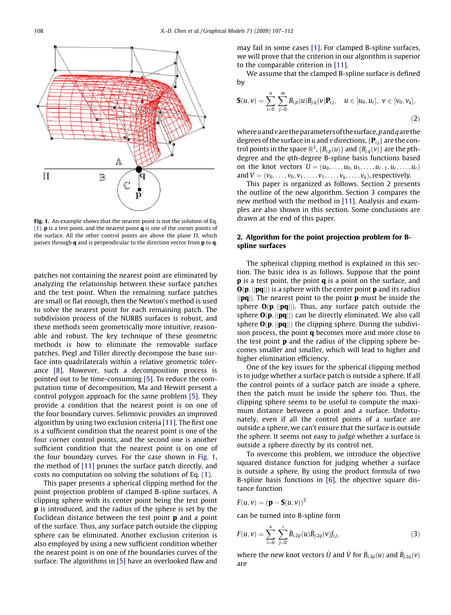

Fig. 1. An example shows that the nearest point is not the solution of Eq. (1).  $\bf{p}$  is a test point, and the nearest point  $\bf{q}$  is one of the corner points of the surface. All the other control points are above the plane  $\Pi$ , which passes through **q** and is perpendicular to the direction vector from **p** to **q**.

patches not containing the nearest point are eliminated by analyzing the relationship between these surface patches and the test point. When the remaining surface patches are small or flat enough, then the Newton's method is used to solve the nearest point for each remaining patch. The subdivision process of the NURBS surfaces is robust, and these methods seem geometrically more intuitive, reasonable and robust. The key technique of these geometric methods is how to eliminate the removable surface patches. Piegl and Tiller directly decompose the base surface into quadrilaterals within a relative geometric tolerance [8]. However, such a decomposition process is pointed out to be time-consuming [5]. To reduce the computation time of decomposition, Ma and Hewitt present a control polygon approach for the same problem [5]. They provide a condition that the nearest point is on one of the four boundary curves. Selimovic provides an improved algorithm by using two exclusion criteria [11]. The first one is a sufficient condition that the nearest point is one of the four corner control points, and the second one is another sufficient condition that the nearest point is on one of the four boundary curves. For the case shown in Fig. 1, the method of [11] prunes the surface patch directly, and costs no computation on solving the solutions of Eq. (1).

This paper presents a spherical clipping method for the point projection problem of clamped B-spline surfaces. A clipping sphere with its center point being the test point p is introduced, and the radius of the sphere is set by the Euclidean distance between the test point  $\bf{p}$  and a point of the surface. Thus, any surface patch outside the clipping sphere can be eliminated. Another exclusion criterion is also employed by using a new sufficient condition whether the nearest point is on one of the boundaries curves of the surface. The algorithms in [5] have an overlooked flaw and may fail in some cases [1]. For clamped B-spline surfaces, we will prove that the criterion in our algorithm is superior to the comparable criterion in [11].

We assume that the clamped B-spline surface is defined by

$$
\mathbf{S}(u,v) = \sum_{i=0}^{n} \sum_{j=0}^{m} B_{i,p}(u) B_{j,q}(v) \mathbf{P}_{i,j}, \quad u \in [u_0, u_r], \ v \in [v_0, v_k],
$$
\n(2)

where  $u$  and  $v$  are the parameters of the surface, p and  $q$  are the degrees of the surface in u and v directions,  $\{P_{ij}\}\$ are the control points in the space  $\mathbb{R}^3$ ,  ${B_{i,p}(u)}$  and  ${B_{i,q}(v)}$  are the pthdegree and the qth-degree B-spline basis functions based on the knot vectors  $U = (u_0, ..., u_0, u_1, ..., u_{r-1}, u_r, ..., u_r)$ and  $V = (v_0, ..., v_0, v_1, ..., v_1, ..., v_k, ..., v_k)$ , respectively.

This paper is organized as follows. Section 2 presents the outline of the new algorithm. Section 3 compares the new method with the method in [11]. Analysis and examples are also shown in this section. Some conclusions are drawn at the end of this paper.

# 2. Algorithm for the point projection problem for Bspline surfaces

The spherical clipping method is explained in this section. The basic idea is as follows. Suppose that the point **p** is a test point, the point **q** is a point on the surface, and  $O(p, ||pq||)$  is a sphere with the center point **p** and its radius  $\|\mathbf{p}\mathbf{q}\|$ . The nearest point to the point **p** must be inside the sphere  $O(p, ||pq||)$ . Thus, any surface patch outside the sphere  $O(p, ||pq||)$  can be directly eliminated. We also call sphere  $O(p, ||pq||)$  the clipping sphere. During the subdivision process, the point  $q$  becomes more and more close to the test point  $\bf{p}$  and the radius of the clipping sphere becomes smaller and smaller, which will lead to higher and higher elimination efficiency.

One of the key issues for the spherical clipping method is to judge whether a surface patch is outside a sphere. If all the control points of a surface patch are inside a sphere, then the patch must be inside the sphere too. Thus, the clipping sphere seems to be useful to compute the maximum distance between a point and a surface. Unfortunately, even if all the control points of a surface are outside a sphere, we can't ensure that the surface is outside the sphere. It seems not easy to judge whether a surface is outside a sphere directly by its control net.

To overcome this problem, we introduce the objective squared distance function for judging whether a surface is outside a sphere. By using the product formula of two B-spline basis functions in [6], the objective square distance function

$$
F(u,v) = (\mathbf{p} - \mathbf{S}(u,v))^2
$$

can be turned into B-spline form

$$
F(u,v) = \sum_{i=0}^{k} \sum_{j=0}^{l} \hat{B}_{i,2p}(u) \hat{B}_{j,2q}(v) f_{i,j},
$$
\n(3)

where the new knot vectors  $\hat{U}$  and  $\hat{V}$  for  $\hat{B}_{i,2p}(u)$  and  $\hat{B}_{j,2q}(v)$ are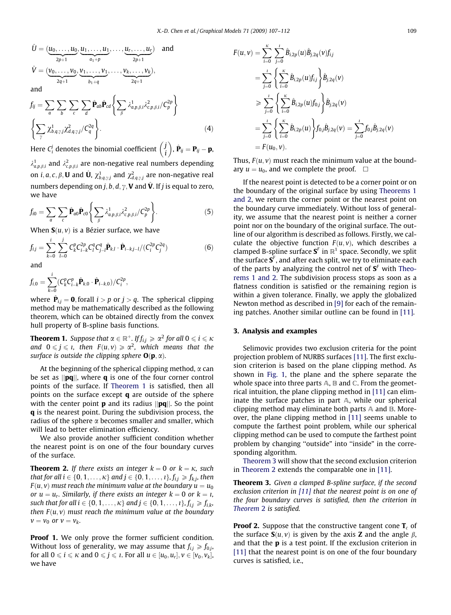$$
\hat{U} = (\underbrace{u_0, \dots, u_0}_{2p+1}, \underbrace{u_1, \dots, u_1}_{a_1+p}, \dots, \underbrace{u_r, \dots, u_r}_{2p+1})
$$
 and  
\n
$$
\hat{V} = (\underbrace{v_0, \dots, v_0}_{2q+1}, \underbrace{v_1, \dots, v_1}_{b_1+q}, \dots, \underbrace{v_k, \dots, v_k}_{2q+1}),
$$
 and

$$
f_{ij} = \sum_{a} \sum_{b} \sum_{c} \sum_{d} \hat{\mathbf{P}}_{ab} \hat{\mathbf{P}}_{cd} \left\{ \sum_{\beta} \lambda_{a,p,\beta,i}^{1} \lambda_{c,p,\beta,i}^{2} / C_{p}^{2p} \right\}
$$
  

$$
\left\{ \sum_{\gamma} \chi_{b,q,\gamma,j}^{1} \chi_{d,q,\gamma,j}^{2} / C_{q}^{2q} \right\}.
$$
 (4)

Here  $C_i^j$  denotes the binomial coefficient  $\begin{pmatrix} j & j \\ i & j \end{pmatrix}$  $\left(\begin{matrix} j \\ j \end{matrix}\right)$ ,  $\hat{\mathbf{P}}_{ij} = \mathbf{P}_{ij} - \mathbf{p}$ ,

 $\lambda^1_{a,p,\beta,i}$  and  $\lambda^2_{c,p,\beta,i}$  are non-negative real numbers depending on  $i$ ,  $a$ ,  $c$ ,  $\beta$ ,  ${\bf U}$  and  $\hat{\bf U}$ ,  $\chi_{b,q,\gamma j}^1$  and  $\chi_{d,q,\gamma j}^2$  are non-negative real numbers depending on  $j, b, d, \gamma$ , **V** and  $\hat{\mathbf{V}}$ . If j is equal to zero, we have

$$
f_{i0} = \sum_{a} \sum_{c} \hat{\mathbf{P}}_{a0} \hat{\mathbf{P}}_{c0} \left\{ \sum_{\beta} \lambda_{a,p,\beta,i}^{1} \lambda_{c,p,\beta,i}^{2} / C_{p}^{2p} \right\}.
$$
 (5)

When  $S(u, v)$  is a Bézier surface, we have

$$
f_{ij} = \sum_{k=0}^{i} \sum_{l=0}^{j} C_k^p C_{i-k}^{2p} C_l^q C_{j-l}^q \hat{\mathbf{P}}_{k,l} \cdot \hat{\mathbf{P}}_{i-k,j-l} / (C_i^{2p} C_j^{2q}) \tag{6}
$$

and

$$
f_{i,0} = \sum_{k=0}^{i} (C_k^p C_{i-k}^p \hat{\mathbf{P}}_{k,0} \cdot \hat{\mathbf{P}}_{i-k,0}) / C_i^{2p},
$$

where  $\hat{\mathbf{P}}_{ij} = \mathbf{0}$ , forall  $i > p$  or  $j > q$ . The spherical clipping method may be mathematically described as the following theorem, which can be obtained directly from the convex hull property of B-spline basis functions.

**Theorem 1.** Suppose that  $\alpha \in \mathbb{R}^+$ . If  $f_{i,j} \ge \alpha^2$  for all  $0 \le i \le \kappa$ and  $0 \leq j \leq l$ , then  $F(u, v) \geq \alpha^2$ , which means that the surface is outside the clipping sphere  $O(p, \alpha)$ .

At the beginning of the spherical clipping method,  $\alpha$  can be set as  $\|\mathbf{p}\mathbf{q}\|$ , where **q** is one of the four corner control points of the surface. If Theorem 1 is satisfied, then all points on the surface except q are outside of the sphere with the center point **p** and its radius  $\|\mathbf{pq}\|$ . So the point q is the nearest point. During the subdivision process, the radius of the sphere  $\alpha$  becomes smaller and smaller, which will lead to better elimination efficiency.

We also provide another sufficient condition whether the nearest point is on one of the four boundary curves of the surface.

**Theorem 2.** If there exists an integer  $k = 0$  or  $k = \kappa$ , such that for all  $i \in \{0, 1, \ldots, \kappa\}$  and  $j \in \{0, 1, \ldots, i\}$ ,  $f_{i,j} \geq f_{k,j}$ , then  $F(u, v)$  must reach the minimum value at the boundary  $u = u_0$ or  $u = u_r$ . Similarly, if there exists an integer  $k = 0$  or  $k = i$ , such that for all  $i \in \{0, 1, ..., \kappa\}$  and  $j \in \{0, 1, ..., \iota\}, f_{i,j} \geq f_{i,k}$ , then  $F(u, v)$  must reach the minimum value at the boundary  $v = v_0$  or  $v = v_k$ .

Proof 1. We only prove the former sufficient condition. Without loss of generality, we may assume that  $f_{i,j} \geq f_{0,j}$ , for all  $0 \le i \le \kappa$  and  $0 \le j \le \kappa$ . For all  $u \in [u_0, u_r]$ ,  $v \in [v_0, v_k]$ , we have

$$
F(u, v) = \sum_{i=0}^{k} \sum_{j=0}^{i} \hat{B}_{i,2p}(u) \hat{B}_{j,2q}(v) f_{ij}
$$
  
\n
$$
= \sum_{j=0}^{i} \left\{ \sum_{i=0}^{k} \hat{B}_{i,2p}(u) f_{ij} \right\} \hat{B}_{j,2q}(v)
$$
  
\n
$$
\geq \sum_{j=0}^{i} \left\{ \sum_{i=0}^{k} \hat{B}_{i,2p}(u) f_{0,j} \right\} \hat{B}_{j,2q}(v)
$$
  
\n
$$
= \sum_{j=0}^{i} \left\{ \sum_{i=0}^{k} \hat{B}_{i,2p}(u) \right\} f_{0,j} \hat{B}_{j,2q}(v) = \sum_{j=0}^{i} f_{0,j} \hat{B}_{j,2q}(v)
$$
  
\n
$$
= F(u_0, v).
$$

Thus,  $F(u, v)$  must reach the minimum value at the boundary  $u = u_0$ , and we complete the proof.  $\Box$ 

If the nearest point is detected to be a corner point or on the boundary of the original surface by using Theorems 1 and 2, we return the corner point or the nearest point on the boundary curve immediately. Without loss of generality, we assume that the nearest point is neither a corner point nor on the boundary of the original surface. The outline of our algorithm is described as follows. Firstly, we calculate the objective function  $F(u, v)$ , which describes a clamped B-spline surface  $S<sup>F</sup>$  in  $\mathbb{R}^1$  space. Secondly, we split the surface  $S^F$ , and after each split, we try to eliminate each of the parts by analyzing the control net of  $S<sup>F</sup>$  with Theorems 1 and 2. The subdivision process stops as soon as a flatness condition is satisfied or the remaining region is within a given tolerance. Finally, we apply the globalized Newton method as described in [9] for each of the remaining patches. Another similar outline can be found in [11].

# 3. Analysis and examples

Selimovic provides two exclusion criteria for the point projection problem of NURBS surfaces [11]. The first exclusion criterion is based on the plane clipping method. As shown in Fig. 1, the plane and the sphere separate the whole space into three parts  $A$ ,  $B$  and  $C$ . From the geometrical intuition, the plane clipping method in [11] can eliminate the surface patches in part A, while our spherical clipping method may eliminate both parts  $\mathbb A$  and  $\mathbb B$ . Moreover, the plane clipping method in [11] seems unable to compute the farthest point problem, while our spherical clipping method can be used to compute the farthest point problem by changing ''outside" into ''inside" in the corresponding algorithm.

Theorem 3 will show that the second exclusion criterion in Theorem 2 extends the comparable one in [11].

Theorem 3. Given a clamped B-spline surface, if the second exclusion criterion in [11] that the nearest point is on one of the four boundary curves is satisfied, then the criterion in Theorem 2 is satisfied.

**Proof 2.** Suppose that the constructive tangent cone  $T_c$  of the surface  $S(u, v)$  is given by the axis **Z** and the angle  $\beta$ , and that the  $\bf{p}$  is a test point. If the exclusion criterion in [11] that the nearest point is on one of the four boundary curves is satisfied, i.e.,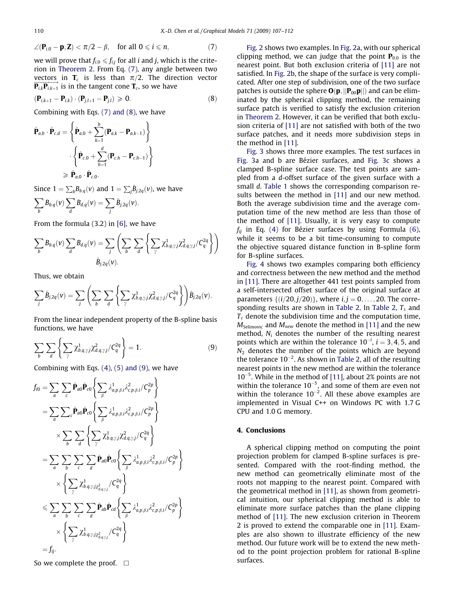$$
\angle(\mathbf{P}_{i,0}-\mathbf{p},\mathbf{Z}) < \pi/2 - \beta, \quad \text{for all } 0 \leqslant i \leqslant n,\tag{7}
$$

we will prove that  $f_{i,0} \leq f_{i,j}$  for all *i* and *j*, which is the criterion in Theorem 2. From Eq. (7), any angle between two vectors in  $T_c$  is less than  $\pi/2$ . The direction vector  $\overrightarrow{\mathbf{P}_{i,k}\mathbf{P}_{i,k+1}}$  is in the tangent cone  $\mathbf{T}_c$ , so we have

$$
(\mathbf{P}_{i,k+1} - \mathbf{P}_{i,k}) \cdot (\mathbf{P}_{j,l+1} - \mathbf{P}_{j,l}) \geq 0. \tag{8}
$$

Combining with Eqs. (7) and (8), we have

$$
\hat{\mathbf{P}}_{a,b} \cdot \hat{\mathbf{P}}_{c,d} = \left\{ \hat{\mathbf{P}}_{a,0} + \sum_{k=1}^{b} (\mathbf{P}_{a,k} - \mathbf{P}_{a,k-1}) \right\}
$$

$$
\cdot \left\{ \hat{\mathbf{P}}_{c,0} + \sum_{h=1}^{d} (\mathbf{P}_{c,h} - \mathbf{P}_{c,h-1}) \right\}
$$

$$
\geqslant \hat{\mathbf{P}}_{a,0} \cdot \hat{\mathbf{P}}_{c,0}.
$$

Since  $1 = \sum_b B_{b,q}(v)$  and  $1 = \sum_j \hat{B}_{j,2q}(v)$ , we have

$$
\sum_b B_{b,q}(v) \sum_d B_{d,q}(v) = \sum_j \hat{B}_{j,2q}(v).
$$

From the formula (3.2) in [6], we have

$$
\sum_{b} B_{b,q}(v) \sum_{d} B_{d,q}(v) = \sum_{j} \left( \sum_{b} \sum_{d} \left\{ \sum_{\gamma} \chi^{1}_{b,q,\gamma,j} \chi^{2}_{d,q,\gamma,j} / C_{q}^{2q} \right\} \right)
$$

$$
\hat{B}_{j,2q}(v).
$$

Thus, we obtain

$$
\sum_j \hat{B}_{j,2q}(v) = \sum_j \left( \sum_b \sum_d \left\{ \sum_{\gamma} \chi^1_{b,q,\gamma,j} \chi^2_{d,q,\gamma,j} / C_q^{2q} \right\} \right) \hat{B}_{j,2q}(v).
$$

From the linear independent property of the B-spline basis functions, we have

$$
\sum_{b} \sum_{d} \left\{ \sum_{\gamma} \chi^{1}_{b,q,\gamma j} \chi^{2}_{d,q,\gamma j} / C_{q}^{2q} \right\} = 1.
$$
 (9)

Combining with Eqs.  $(4)$ ,  $(5)$  and  $(9)$ , we have

$$
f_{i0} = \sum_{a} \sum_{c} \hat{P}_{a0} \hat{P}_{c0} \left\{ \sum_{\beta} \lambda_{a,p,\beta,i}^{1} \lambda_{c,p,\beta,i}^{2} / C_{p}^{2p} \right\}
$$
  
\n
$$
= \sum_{a} \sum_{c} \hat{P}_{a0} \hat{P}_{c0} \left\{ \sum_{\beta} \lambda_{a,p,\beta,i}^{1} \lambda_{c,p,\beta,i}^{2} / C_{p}^{2p} \right\}
$$
  
\n
$$
\times \sum_{b} \sum_{d} \left\{ \sum_{\gamma} \chi_{b,q,\gamma,j}^{1} \chi_{d,q,\gamma,j}^{2} / C_{q}^{2q} \right\}
$$
  
\n
$$
= \sum_{a} \sum_{b} \sum_{c} \sum_{d} \hat{P}_{a0} \hat{P}_{c0} \left\{ \sum_{\beta} \lambda_{a,p,\beta,i}^{1} \lambda_{c,p,\beta,i}^{2} / C_{p}^{2p} \right\}
$$
  
\n
$$
\times \left\{ \sum_{\gamma} \chi_{b,q,\gamma,j\chi_{d,q,\gamma,j}^{2} / C_{q}^{2q} \right\}
$$
  
\n
$$
\times \left\{ \sum_{\gamma} \sum_{b} \sum_{c} \sum_{d} \hat{P}_{ab} \hat{P}_{cd} \left\{ \sum_{\beta} \lambda_{a,p,\beta,i}^{1} \lambda_{c,p,\beta,i}^{2} / C_{p}^{2p} \right\} \right\}
$$
  
\n
$$
\times \left\{ \sum_{\gamma} \chi_{b,q,\gamma,j\chi_{d,q,\gamma,j}^{2} / C_{q}^{2q} \right\}
$$
  
\n
$$
= f_{ij}.
$$

So we complete the proof.  $\Box$ 

Fig. 2 shows two examples. In Fig. 2a, with our spherical clipping method, we can judge that the point  $P_{0,0}$  is the nearest point. But both exclusion criteria of [11] are not satisfied. In Fig. 2b, the shape of the surface is very complicated. After one step of subdivision, one of the two surface patches is outside the sphere  $O(p,||P_{00}p||)$  and can be eliminated by the spherical clipping method, the remaining surface patch is verified to satisfy the exclusion criterion in Theorem 2. However, it can be verified that both exclusion criteria of [11] are not satisfied with both of the two surface patches, and it needs more subdivision steps in the method in [11].

Fig. 3 shows three more examples. The test surfaces in Fig. 3a and b are Bézier surfaces, and Fig. 3c shows a clamped B-spline surface case. The test points are sampled from a d-offset surface of the given surface with a small d. Table 1 shows the corresponding comparison results between the method in [11] and our new method. Both the average subdivision time and the average computation time of the new method are less than those of the method of [11]. Usually, it is very easy to compute  $f_{ij}$  in Eq. (4) for Bézier surfaces by using Formula (6), while it seems to be a bit time-consuming to compute the objective squared distance function in B-spline form for B-spline surfaces.

Fig. 4 shows two examples comparing both efficiency and correctness between the new method and the method in [11]. There are altogether 441 test points sampled from a self-intersected offset surface of the original surface at parameters  $\{(i/20, j/20)\}$ , where  $i, j = 0, \ldots, 20$ . The corresponding results are shown in Table 2. In Table 2,  $T_s$  and  $T_c$  denote the subdivision time and the computation time,  $M_{\text{Selimovic}}$  and  $M_{\text{new}}$  denote the method in [11] and the new method,  $N_i$  denotes the number of the resulting nearest points which are within the tolerance  $10^{-i}$ ,  $i = 3, 4, 5$ , and  $N<sub>2</sub>$  denotes the number of the points which are beyond the tolerance  $10^{-2}$ . As shown in Table 2, all of the resulting nearest points in the new method are within the tolerance 10-5 . While in the method of [11], about 2% points are not within the tolerance  $10^{-5}$ , and some of them are even not within the tolerance  $10^{-2}$ . All these above examples are implemented in Visual C++ on Windows PC with 1.7 G CPU and 1.0 G memory.

### 4. Conclusions

A spherical clipping method on computing the point projection problem for clamped B-spline surfaces is presented. Compared with the root-finding method, the new method can geometrically eliminate most of the roots not mapping to the nearest point. Compared with the geometrical method in [11], as shown from geometrical intuition, our spherical clipping method is able to eliminate more surface patches than the plane clipping method of [11]. The new exclusion criterion in Theorem 2 is proved to extend the comparable one in [11]. Examples are also shown to illustrate efficiency of the new method. Our future work will be to extend the new method to the point projection problem for rational B-spline surfaces.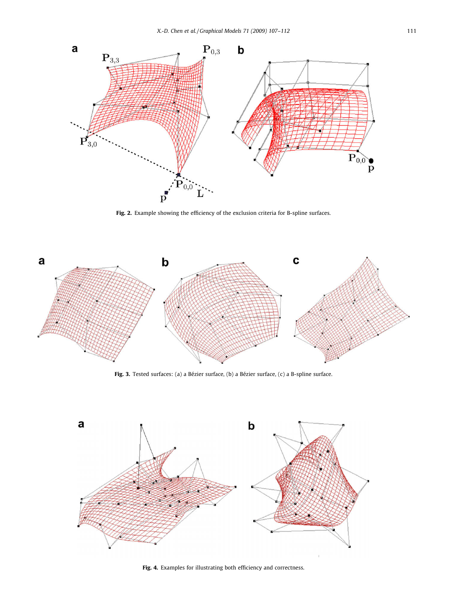

Fig. 2. Example showing the efficiency of the exclusion criteria for B-spline surfaces.



Fig. 3. Tested surfaces: (a) a Bézier surface, (b) a Bézier surface, (c) a B-spline surface.



Fig. 4. Examples for illustrating both efficiency and correctness.